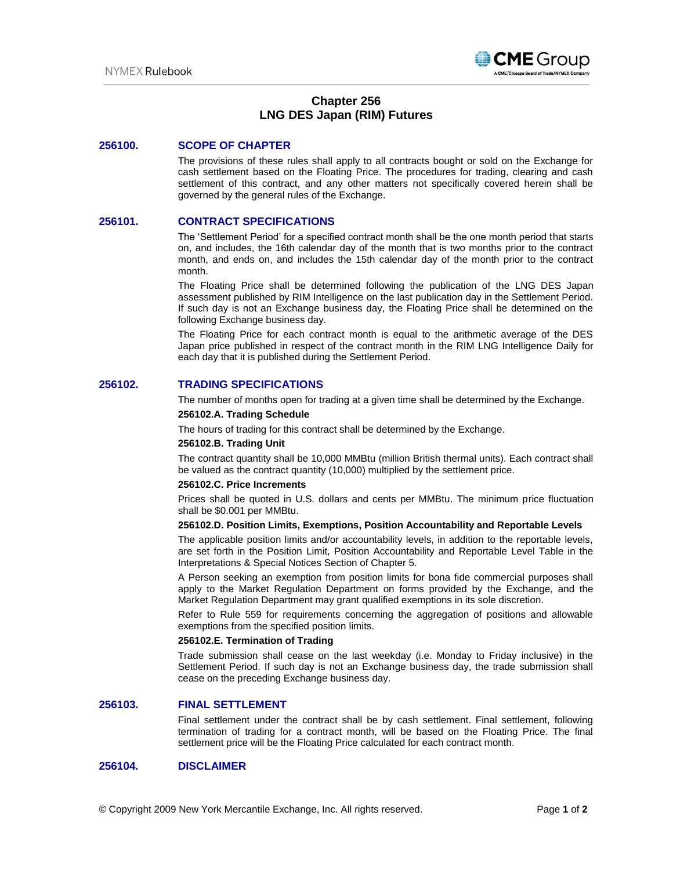

# **Chapter 256 LNG DES Japan (RIM) Futures**

## **256100. SCOPE OF CHAPTER**

The provisions of these rules shall apply to all contracts bought or sold on the Exchange for cash settlement based on the Floating Price. The procedures for trading, clearing and cash settlement of this contract, and any other matters not specifically covered herein shall be governed by the general rules of the Exchange.

# **256101. CONTRACT SPECIFICATIONS**

The 'Settlement Period' for a specified contract month shall be the one month period that starts on, and includes, the 16th calendar day of the month that is two months prior to the contract month, and ends on, and includes the 15th calendar day of the month prior to the contract month.

The Floating Price shall be determined following the publication of the LNG DES Japan assessment published by RIM Intelligence on the last publication day in the Settlement Period. If such day is not an Exchange business day, the Floating Price shall be determined on the following Exchange business day.

The Floating Price for each contract month is equal to the arithmetic average of the DES Japan price published in respect of the contract month in the RIM LNG Intelligence Daily for each day that it is published during the Settlement Period.

# **256102. TRADING SPECIFICATIONS**

The number of months open for trading at a given time shall be determined by the Exchange.

#### **256102.A. Trading Schedule**

The hours of trading for this contract shall be determined by the Exchange.

#### **256102.B. Trading Unit**

The contract quantity shall be 10,000 MMBtu (million British thermal units). Each contract shall be valued as the contract quantity (10,000) multiplied by the settlement price.

#### **256102.C. Price Increments**

Prices shall be quoted in U.S. dollars and cents per MMBtu. The minimum price fluctuation shall be \$0.001 per MMBtu.

## **256102.D. Position Limits, Exemptions, Position Accountability and Reportable Levels**

The applicable position limits and/or accountability levels, in addition to the reportable levels, are set forth in the Position Limit, Position Accountability and Reportable Level Table in the Interpretations & Special Notices Section of Chapter 5.

A Person seeking an exemption from position limits for bona fide commercial purposes shall apply to the Market Regulation Department on forms provided by the Exchange, and the Market Regulation Department may grant qualified exemptions in its sole discretion.

Refer to Rule 559 for requirements concerning the aggregation of positions and allowable exemptions from the specified position limits.

## **256102.E. Termination of Trading**

Trade submission shall cease on the last weekday (i.e. Monday to Friday inclusive) in the Settlement Period. If such day is not an Exchange business day, the trade submission shall cease on the preceding Exchange business day.

# **256103. FINAL SETTLEMENT**

Final settlement under the contract shall be by cash settlement. Final settlement, following termination of trading for a contract month, will be based on the Floating Price. The final settlement price will be the Floating Price calculated for each contract month.

## **256104. DISCLAIMER**